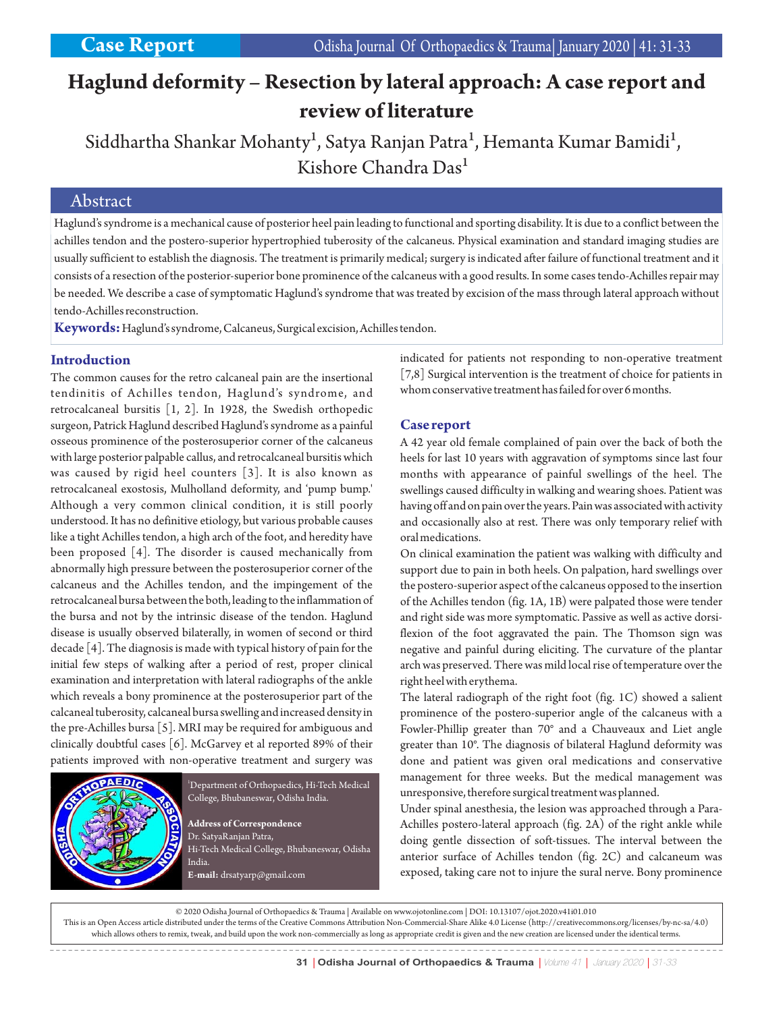# **Haglund deformity – Resection by lateral approach: A case report and review of literature**

Siddhartha Shankar Mohanty<sup>1</sup>, Satya Ranjan Patra<sup>1</sup>, Hemanta Kumar Bamidi<sup>1</sup>, Kishore Chandra Das<sup>1</sup>

## Abstract

Haglund's syndrome is a mechanical cause of posterior heel pain leading to functional and sporting disability. It is due to a conflict between the achilles tendon and the postero-superior hypertrophied tuberosity of the calcaneus. Physical examination and standard imaging studies are usually sufficient to establish the diagnosis. The treatment is primarily medical; surgery is indicated after failure of functional treatment and it consists of a resection of the posterior-superior bone prominence of the calcaneus with a good results. In some cases tendo-Achilles repair may be needed. We describe a case of symptomatic Haglund's syndrome that was treated by excision of the mass through lateral approach without tendo-Achilles reconstruction.

**Keywords:**Haglund's syndrome, Calcaneus, Surgical excision, Achilles tendon.

#### **Introduction**

The common causes for the retro calcaneal pain are the insertional tendinitis of Achilles tendon, Haglund's syndrome, and retrocalcaneal bursitis [1, 2]. In 1928, the Swedish orthopedic surgeon, Patrick Haglund described Haglund's syndrome as a painful osseous prominence of the posterosuperior corner of the calcaneus with large posterior palpable callus, and retrocalcaneal bursitis which was caused by rigid heel counters [3]. It is also known as retrocalcaneal exostosis, Mulholland deformity, and 'pump bump.' Although a very common clinical condition, it is still poorly understood. It has no definitive etiology, but various probable causes like a tight Achilles tendon, a high arch of the foot, and heredity have been proposed [4]. The disorder is caused mechanically from abnormally high pressure between the posterosuperior corner of the calcaneus and the Achilles tendon, and the impingement of the retrocalcaneal bursa between the both, leading to the inflammation of the bursa and not by the intrinsic disease of the tendon. Haglund disease is usually observed bilaterally, in women of second or third decade [4]. The diagnosis is made with typical history of pain for the initial few steps of walking after a period of rest, proper clinical examination and interpretation with lateral radiographs of the ankle which reveals a bony prominence at the posterosuperior part of the calcaneal tuberosity, calcaneal bursa swelling and increased density in the pre-Achilles bursa [5]. MRI may be required for ambiguous and clinically doubtful cases [6]. McGarvey et al reported 89% of their patients improved with non-operative treatment and surgery was



<sup>1</sup>Department of Orthopaedics, Hi-Tech Medical College, Bhubaneswar, Odisha India.

**Address of Correspondence** Dr. SatyaRanjan Patra, Hi-Tech Medical College, Bhubaneswar, Odisha India. **E-mail:** drsatyarp@gmail.com

indicated for patients not responding to non-operative treatment [7,8] Surgical intervention is the treatment of choice for patients in whom conservative treatment has failed for over 6 months.

#### **Case report**

A 42 year old female complained of pain over the back of both the heels for last 10 years with aggravation of symptoms since last four months with appearance of painful swellings of the heel. The swellings caused difficulty in walking and wearing shoes. Patient was having off and on pain over the years. Pain was associated with activity and occasionally also at rest. There was only temporary relief with oral medications.

On clinical examination the patient was walking with difficulty and support due to pain in both heels. On palpation, hard swellings over the postero-superior aspect of the calcaneus opposed to the insertion of the Achilles tendon (fig. 1A, 1B) were palpated those were tender and right side was more symptomatic. Passive as well as active dorsiflexion of the foot aggravated the pain. The Thomson sign was negative and painful during eliciting. The curvature of the plantar arch was preserved. There was mild local rise of temperature over the right heel with erythema.

The lateral radiograph of the right foot (fig. 1C) showed a salient prominence of the postero-superior angle of the calcaneus with a Fowler-Phillip greater than 70° and a Chauveaux and Liet angle greater than 10°. The diagnosis of bilateral Haglund deformity was done and patient was given oral medications and conservative management for three weeks. But the medical management was unresponsive, therefore surgical treatment was planned.

Under spinal anesthesia, the lesion was approached through a Para-Achilles postero-lateral approach (fig. 2A) of the right ankle while doing gentle dissection of soft-tissues. The interval between the anterior surface of Achilles tendon (fig. 2C) and calcaneum was exposed, taking care not to injure the sural nerve. Bony prominence

© 2020 Odisha Journal of Orthopaedics & Trauma | Available on www.ojotonline.com | DOI: 10.13107/ojot.2020.v41i01.010 This is an Open Access article distributed under the terms of the Creative Commons Attribution Non-Commercial-Share Alike 4.0 License (http://creativecommons.org/licenses/by-nc-sa/4.0) which allows others to remix, tweak, and build upon the work non-commercially as long as appropriate credit is given and the new creation are licensed under the identical terms.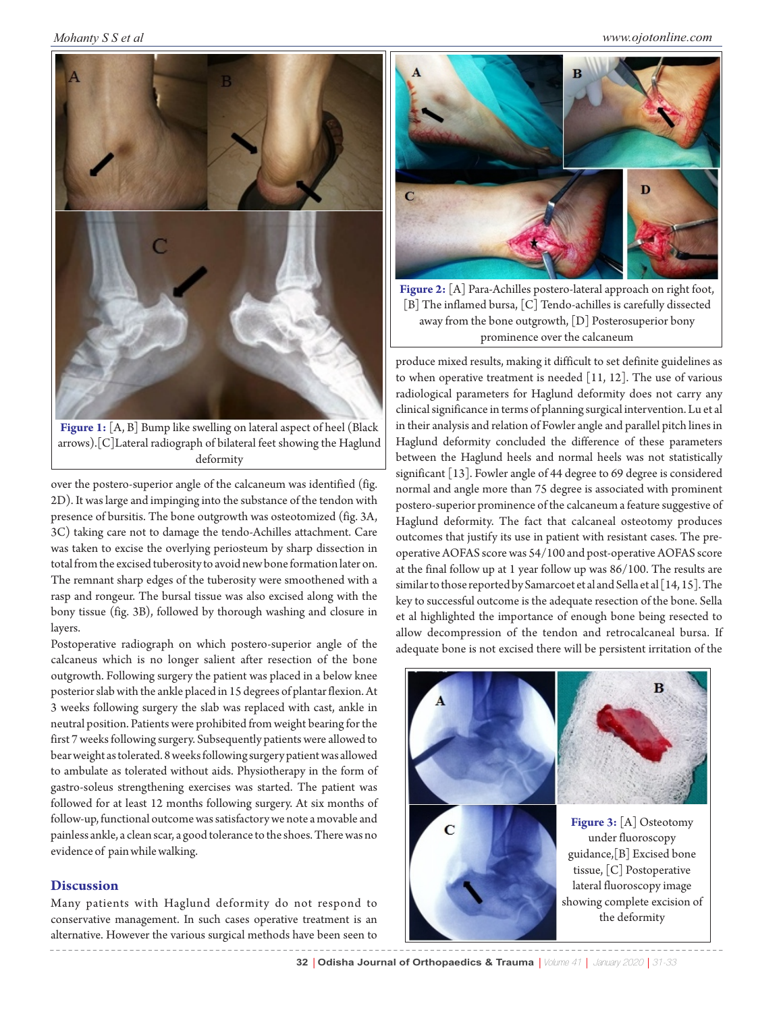*Mohanty S S et al*



**Figure 1:** [A, B] Bump like swelling on lateral aspect of heel (Black arrows).[C]Lateral radiograph of bilateral feet showing the Haglund deformity

over the postero-superior angle of the calcaneum was identified (fig. 2D). It was large and impinging into the substance of the tendon with presence of bursitis. The bone outgrowth was osteotomized (fig. 3A, 3C) taking care not to damage the tendo-Achilles attachment. Care was taken to excise the overlying periosteum by sharp dissection in total from the excised tuberosity to avoid new bone formation later on. The remnant sharp edges of the tuberosity were smoothened with a rasp and rongeur. The bursal tissue was also excised along with the bony tissue (fig. 3B), followed by thorough washing and closure in layers.

Postoperative radiograph on which postero-superior angle of the calcaneus which is no longer salient after resection of the bone outgrowth. Following surgery the patient was placed in a below knee posterior slab with the ankle placed in 15 degrees of plantar flexion. At 3 weeks following surgery the slab was replaced with cast, ankle in neutral position. Patients were prohibited from weight bearing for the first 7 weeks following surgery. Subsequently patients were allowed to bear weight as tolerated. 8 weeks following surgery patient was allowed to ambulate as tolerated without aids. Physiotherapy in the form of gastro-soleus strengthening exercises was started. The patient was followed for at least 12 months following surgery. At six months of follow-up, functional outcome was satisfactory we note a movable and painless ankle, a clean scar, a good tolerance to the shoes. There was no evidence of pain while walking.

### **Discussion**

Many patients with Haglund deformity do not respond to conservative management. In such cases operative treatment is an alternative. However the various surgical methods have been seen to



**Figure 2:** [A] Para-Achilles postero-lateral approach on right foot, [B] The inflamed bursa, [C] Tendo-achilles is carefully dissected away from the bone outgrowth, [D] Posterosuperior bony prominence over the calcaneum

produce mixed results, making it difficult to set definite guidelines as to when operative treatment is needed  $[11, 12]$ . The use of various radiological parameters for Haglund deformity does not carry any clinical significance in terms of planning surgical intervention. Lu et al in their analysis and relation of Fowler angle and parallel pitch lines in Haglund deformity concluded the difference of these parameters between the Haglund heels and normal heels was not statistically significant [13]. Fowler angle of 44 degree to 69 degree is considered normal and angle more than 75 degree is associated with prominent postero-superior prominence of the calcaneum a feature suggestive of Haglund deformity. The fact that calcaneal osteotomy produces outcomes that justify its use in patient with resistant cases. The preoperative AOFAS score was 54/100 and post-operative AOFAS score at the final follow up at 1 year follow up was 86/100. The results are similar to those reported by Samarcoet et al and Sella et al [14, 15]. The key to successful outcome is the adequate resection of the bone. Sella et al highlighted the importance of enough bone being resected to allow decompression of the tendon and retrocalcaneal bursa. If adequate bone is not excised there will be persistent irritation of the



**32** | **Odisha Journal of Orthopaedics & Trauma** | Volume 41 | January 2020 | 31-33